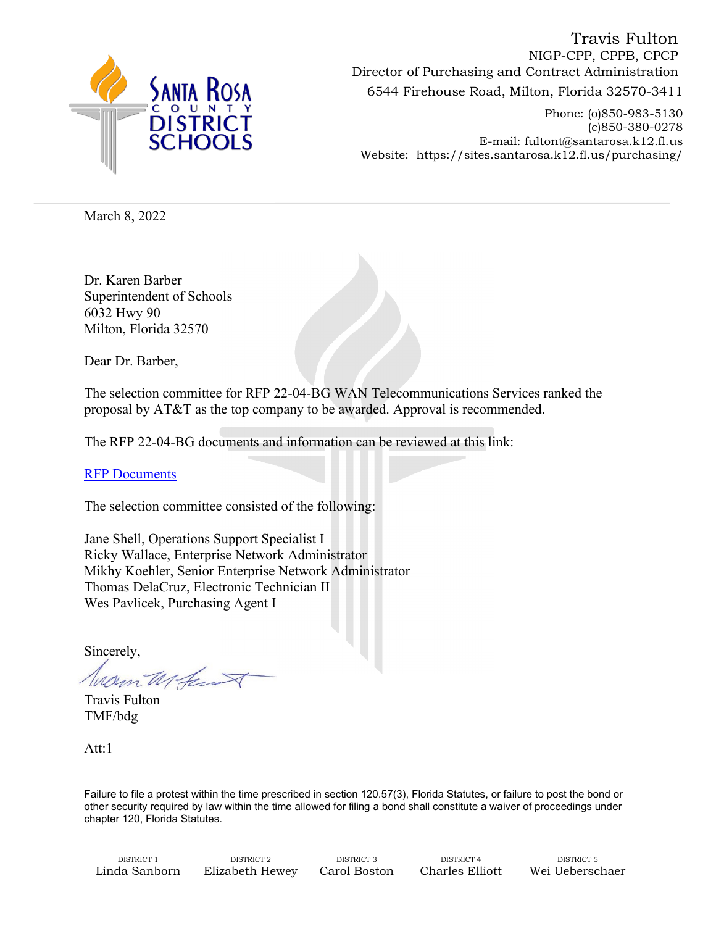

6544 Firehouse Road, Milton, Florida 32570-3411 Director of Purchasing and Contract Administration Travis Fulton NIGP-CPP, CPPB, CPCP

Phone: (o)850-983-5130 (c)850-380-0278 E-mail: fultont@santarosa.k12.fl.us Website: https://sites.santarosa.k12.fl.us/purchasing/

March 8, 2022

Dr. Karen Barber Superintendent of Schools 6032 Hwy 90 Milton, Florida 32570

Dear Dr. Barber,

The selection committee for RFP 22-04-BG WAN Telecommunications Services ranked the proposal by AT&T as the top company to be awarded. Approval is recommended.

The RFP 22-04-BG documents and information can be reviewed at this link:

[RFP Documents](https://sites.santarosa.k12.fl.us/purchasing/bids/2022/RFP22-04-BG_WAN_Telecommunications_Services/RFP22-04-BG_WAN_Telecommunications_Services.html)

The selection committee consisted of the following:

Jane Shell, Operations Support Specialist I Ricky Wallace, Enterprise Network Administrator Mikhy Koehler, Senior Enterprise Network Administrator Thomas DelaCruz, Electronic Technician II Wes Pavlicek, Purchasing Agent I

Sincerely,

Warn Mferr

Travis Fulton TMF/bdg

Att:1

Failure to file a protest within the time prescribed in section 120.57(3), Florida Statutes, or failure to post the bond or other security required by law within the time allowed for filing a bond shall constitute a waiver of proceedings under chapter 120, Florida Statutes.

DISTRICT 1 DISTRICT 2 DISTRICT 3 DISTRICT 4 DISTRICT 5 Linda Sanborn Elizabeth Hewey Carol Boston Charles Elliott Wei Ueberschaer